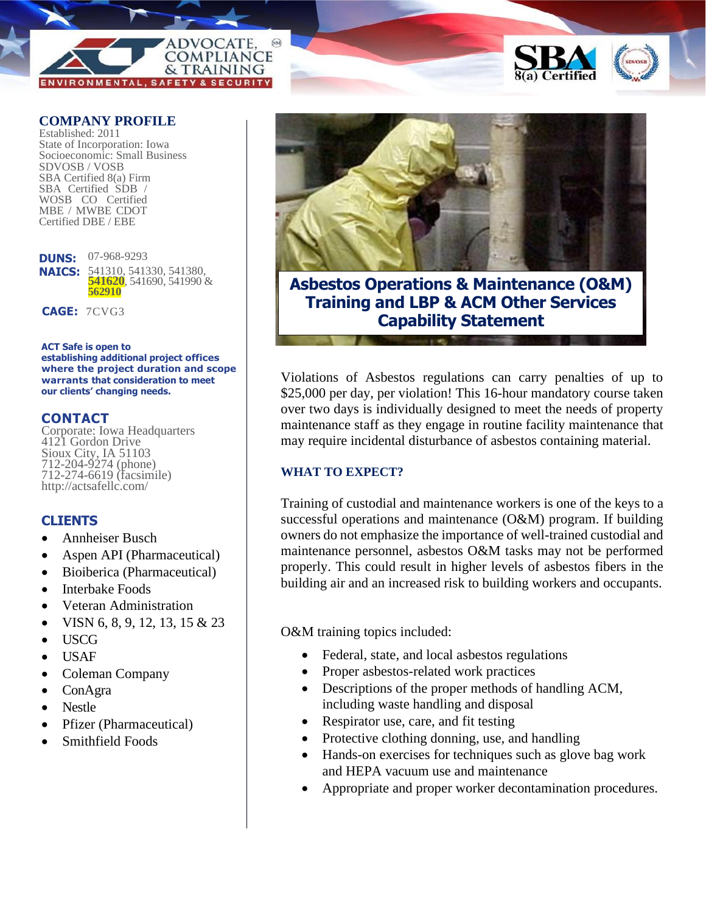### ADVOCATE **COMPLIANCE** & TRAINING **SAFETY & SECURITY**

#### **COMPANY PROFILE**

Established: 2011 State of Incorporation: Iowa Socioeconomic: Small Business SDVOSB / VOSB SBA Certified 8(a) Firm SBA Certified SDB / WOSB CO Certified MBE / MWBE CDOT Certified DBE / EBE

**DUNS:**  07-968-9293 **NAICS:** 541310, 541330, 541380, **541620**, 541690, 541990 & **562910**

**CAGE:** 7CVG3

**ACT Safe is open to establishing additional project offices where the project duration and scope warrants that consideration to meet our clients' changing needs.**

#### **CONTACT**

Corporate: Iowa Headquarters 4121 Gordon Drive Sioux City, IA 51103 712-204-9274 (phone) 712-274-6619 (facsimile) http://actsafellc.com/

#### **CLIENTS**

- Annheiser Busch
- Aspen API (Pharmaceutical)
- Bioiberica (Pharmaceutical)
- Interbake Foods
- Veteran Administration
- VISN 6, 8, 9, 12, 13, 15 & 23
- USCG
- USAF
- Coleman Company
- ConAgra
- Nestle
- Pfizer (Pharmaceutical)
- Smithfield Foods



**Asbestos Operations & Maintenance (O&M) Training and LBP & ACM Other Services Capability Statement**

Violations of Asbestos regulations can carry penalties of up to \$25,000 per day, per violation! This 16-hour mandatory course taken over two days is individually designed to meet the needs of property maintenance staff as they engage in routine facility maintenance that may require incidental disturbance of asbestos containing material.

#### **WHAT TO EXPECT?**

Training of custodial and maintenance workers is one of the keys to a successful operations and maintenance (O&M) program. If building owners do not emphasize the importance of well-trained custodial and maintenance personnel, asbestos O&M tasks may not be performed properly. This could result in higher levels of asbestos fibers in the building air and an increased risk to building workers and occupants.

O&M training topics included:

- Federal, state, and local asbestos regulations
- Proper asbestos-related work practices
- Descriptions of the proper methods of handling ACM, including waste handling and disposal
- Respirator use, care, and fit testing
- Protective clothing donning, use, and handling
- Hands-on exercises for techniques such as glove bag work and HEPA vacuum use and maintenance
- Appropriate and proper worker decontamination procedures.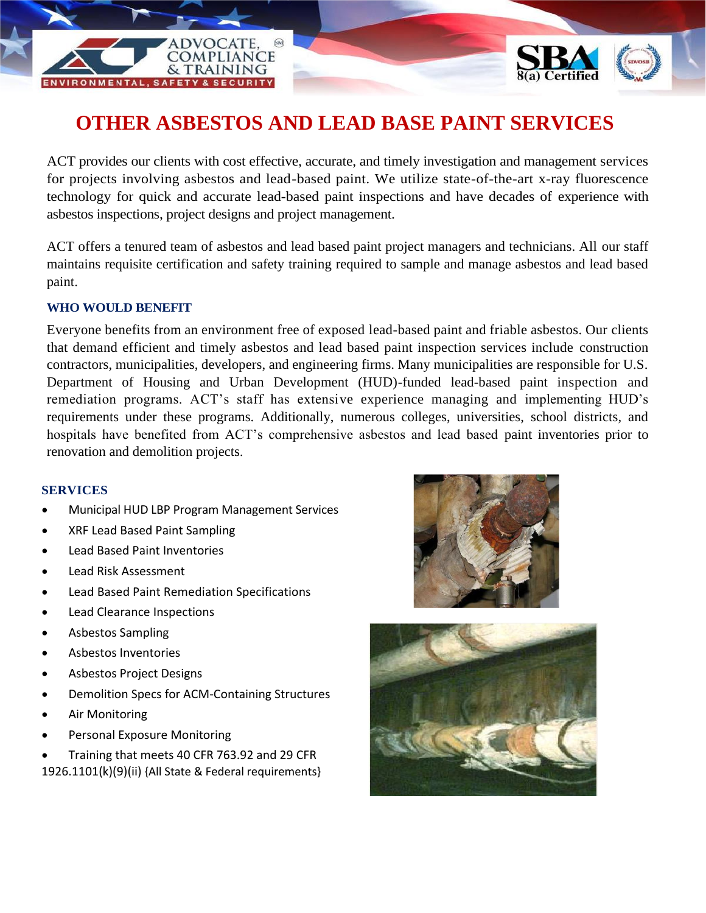## **OTHER ASBESTOS AND LEAD BASE PAINT SERVICES**

ACT provides our clients with cost effective, accurate, and timely investigation and management services for projects involving asbestos and lead-based paint. We utilize state-of-the-art x-ray fluorescence technology for quick and accurate lead-based paint inspections and have decades of experience with asbestos inspections, project designs and project management.

ACT offers a tenured team of asbestos and lead based paint project managers and technicians. All our staff maintains requisite certification and safety training required to sample and manage asbestos and lead based paint.

#### **WHO WOULD BENEFIT**

Everyone benefits from an environment free of exposed lead-based paint and friable asbestos. Our clients that demand efficient and timely asbestos and lead based paint inspection services include construction contractors, municipalities, developers, and engineering firms. Many municipalities are responsible for U.S. Department of Housing and Urban Development (HUD)-funded lead-based paint inspection and remediation programs. ACT's staff has extensive experience managing and implementing HUD's requirements under these programs. Additionally, numerous colleges, universities, school districts, and hospitals have benefited from ACT's comprehensive asbestos and lead based paint inventories prior to renovation and demolition projects.

#### **SERVICES**

• Municipal HUD LBP Program Management Services

**DVOCATE COMPLIANCE** & TRAINING

- XRF Lead Based Paint Sampling
- Lead Based Paint Inventories
- Lead Risk Assessment
- Lead Based Paint Remediation Specifications
- Lead Clearance Inspections
- Asbestos Sampling
- Asbestos Inventories
- Asbestos Project Designs
- Demolition Specs for ACM-Containing Structures
- Air Monitoring
- Personal Exposure Monitoring
- Training that meets 40 CFR 763.92 and 29 CFR 1926.1101(k)(9)(ii) {All State & Federal requirements}